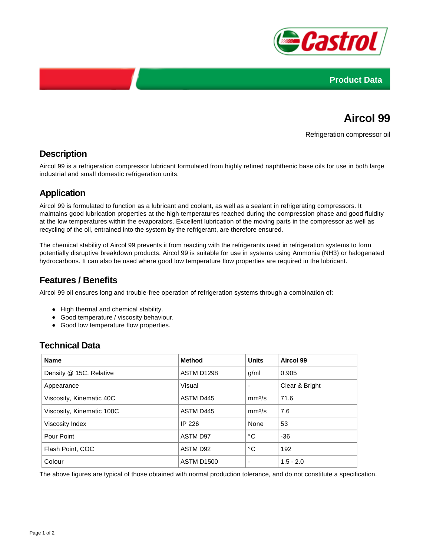



# **Aircol 99**

Refrigeration compressor oil

#### **Description**

Aircol 99 is a refrigeration compressor lubricant formulated from highly refined naphthenic base oils for use in both large industrial and small domestic refrigeration units.

#### **Application**

Aircol 99 is formulated to function as a lubricant and coolant, as well as a sealant in refrigerating compressors. It maintains good lubrication properties at the high temperatures reached during the compression phase and good fluidity at the low temperatures within the evaporators. Excellent lubrication of the moving parts in the compressor as well as recycling of the oil, entrained into the system by the refrigerant, are therefore ensured.

The chemical stability of Aircol 99 prevents it from reacting with the refrigerants used in refrigeration systems to form potentially disruptive breakdown products. Aircol 99 is suitable for use in systems using Ammonia (NH3) or halogenated hydrocarbons. It can also be used where good low temperature flow properties are required in the lubricant.

#### **Features / Benefits**

Aircol 99 oil ensures long and trouble-free operation of refrigeration systems through a combination of:

- High thermal and chemical stability.
- Good temperature / viscosity behaviour.
- Good low temperature flow properties.

#### **Technical Data**

| <b>Name</b>               | <b>Method</b>     | <b>Units</b>       | Aircol 99      |
|---------------------------|-------------------|--------------------|----------------|
| Density @ 15C, Relative   | ASTM D1298        | g/ml               | 0.905          |
| Appearance                | Visual            |                    | Clear & Bright |
| Viscosity, Kinematic 40C  | ASTM D445         | mm <sup>2</sup> /s | 71.6           |
| Viscosity, Kinematic 100C | ASTM D445         | mm <sup>2</sup> /s | 7.6            |
| Viscosity Index           | IP 226            | None               | 53             |
| Pour Point                | <b>ASTM D97</b>   | °C                 | $-36$          |
| Flash Point, COC          | ASTM D92          | °C                 | 192            |
| Colour                    | <b>ASTM D1500</b> | -                  | $1.5 - 2.0$    |

The above figures are typical of those obtained with normal production tolerance, and do not constitute a specification.